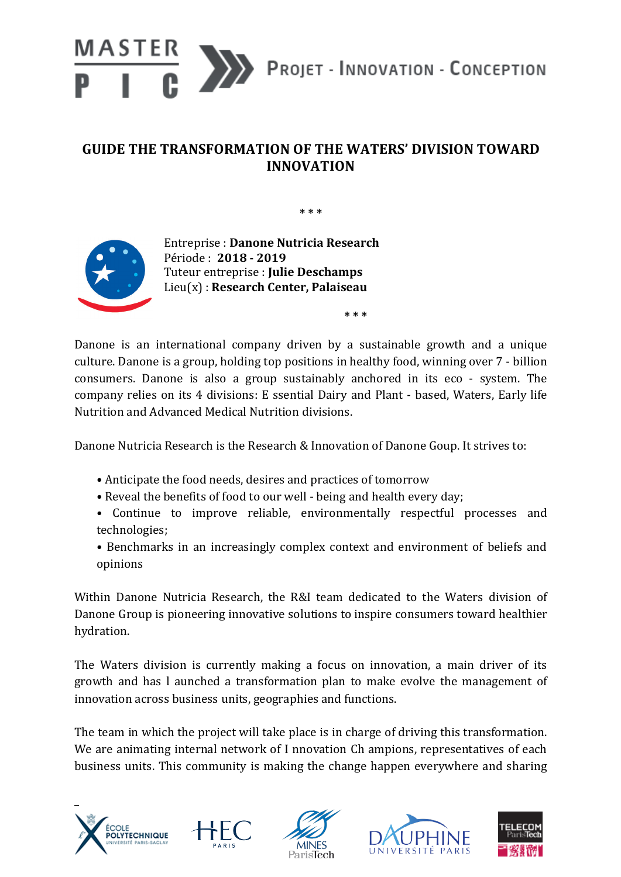

## GUIDE THE TRANSFORMATION OF THE WATERS' DIVISION TOWARD **INNOVATION**

**\* \* \***



Entreprise : **Danone Nutricia Research** Période : **2018 - 2019** Tuteur entreprise : **Julie Deschamps** Lieu(x) : **Research Center, Palaiseau**

**\* \* \***

Danone is an international company driven by a sustainable growth and a unique culture. Danone is a group, holding top positions in healthy food, winning over 7 - billion consumers. Danone is also a group sustainably anchored in its eco - system. The company relies on its 4 divisions: E ssential Dairy and Plant - based, Waters, Early life Nutrition and Advanced Medical Nutrition divisions.

Danone Nutricia Research is the Research & Innovation of Danone Goup. It strives to:

- Anticipate the food needs, desires and practices of tomorrow
- Reveal the benefits of food to our well being and health every day;
- Continue to improve reliable, environmentally respectful processes and technologies;
- Benchmarks in an increasingly complex context and environment of beliefs and opinions

Within Danone Nutricia Research, the R&I team dedicated to the Waters division of Danone Group is pioneering innovative solutions to inspire consumers toward healthier hydration. 

The Waters division is currently making a focus on innovation, a main driver of its growth and has I aunched a transformation plan to make evolve the management of innovation across business units, geographies and functions.

The team in which the project will take place is in charge of driving this transformation. We are animating internal network of I nnovation Ch ampions, representatives of each business units. This community is making the change happen everywhere and sharing